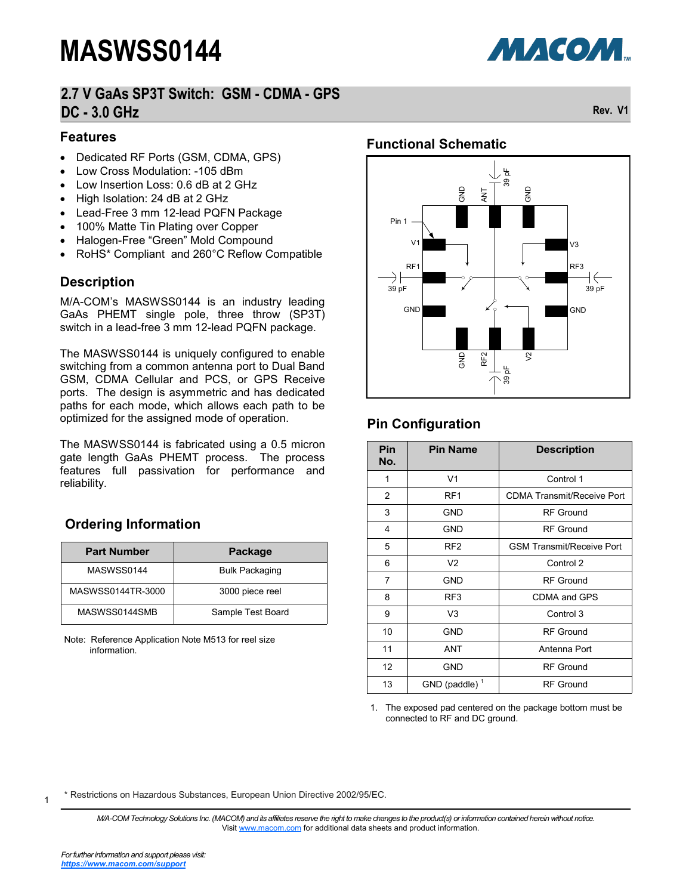# **2.7 V GaAs SP3T Switch: GSM - CDMA - GPS DC - 3.0 GHz Rev. V1**

#### **Features**

- Dedicated RF Ports (GSM, CDMA, GPS)
- Low Cross Modulation: -105 dBm
- Low Insertion Loss: 0.6 dB at 2 GHz
- High Isolation: 24 dB at 2 GHz
- Lead-Free 3 mm 12-lead PQFN Package
- 100% Matte Tin Plating over Copper
- Halogen-Free "Green" Mold Compound
- RoHS\* Compliant and 260°C Reflow Compatible

#### **Description**

M/A-COM's MASWSS0144 is an industry leading GaAs PHEMT single pole, three throw (SP3T) switch in a lead-free 3 mm 12-lead PQFN package.

The MASWSS0144 is uniquely configured to enable switching from a common antenna port to Dual Band GSM, CDMA Cellular and PCS, or GPS Receive ports. The design is asymmetric and has dedicated paths for each mode, which allows each path to be optimized for the assigned mode of operation.

The MASWSS0144 is fabricated using a 0.5 micron gate length GaAs PHEMT process. The process features full passivation for performance and reliability.

### **Ordering Information**

| <b>Part Number</b> | Package               |
|--------------------|-----------------------|
| MASWSS0144         | <b>Bulk Packaging</b> |
| MASWSS0144TR-3000  | 3000 piece reel       |
| MASWSS0144SMB      | Sample Test Board     |

Note: Reference Application Note M513 for reel size information.

### **Functional Schematic**



# **Pin Configuration**

| Pin<br>No. | <b>Pin Name</b>  | <b>Description</b>                |
|------------|------------------|-----------------------------------|
| 1          | V <sub>1</sub>   | Control 1                         |
| 2          | RF <sub>1</sub>  | <b>CDMA Transmit/Receive Port</b> |
| 3          | <b>GND</b>       | <b>RF</b> Ground                  |
| 4          | GND              | <b>RF</b> Ground                  |
| 5          | RF <sub>2</sub>  | <b>GSM Transmit/Receive Port</b>  |
| 6          | V <sub>2</sub>   | Control 2                         |
| 7          | <b>GND</b>       | <b>RF</b> Ground                  |
| 8          | RF <sub>3</sub>  | CDMA and GPS                      |
| 9          | V <sub>3</sub>   | Control 3                         |
| 10         | <b>GND</b>       | <b>RF Ground</b>                  |
| 11         | ANT              | Antenna Port                      |
| 12         | <b>GND</b>       | <b>RF</b> Ground                  |
| 13         | GND (paddle) $1$ | <b>RF</b> Ground                  |

<sup>1.</sup> The exposed pad centered on the package bottom must be connected to RF and DC ground.

\* Restrictions on Hazardous Substances, European Union Directive 2002/95/EC.

*M/A-COM Technology Solutions Inc. (MACOM) and its affiliates reserve the right to make changes to the product(s) or information contained herein without notice.*  Visit [www.macom.com](http://www.macom.com/) for additional data sheets and product information.

1

**МАСОМ.**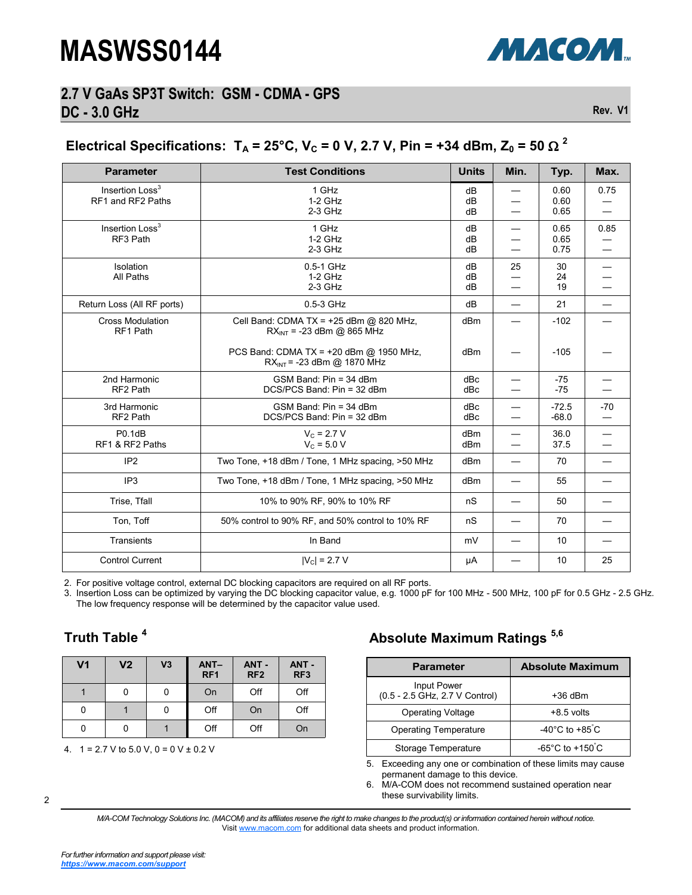

### **2.7 V GaAs SP3T Switch: GSM - CDMA - GPS DC - 3.0 GHz Rev. V1**

# Electrical Specifications:  $T_A = 25^{\circ}$ C, V<sub>c</sub> = 0 V, 2.7 V, Pin = +34 dBm, Z<sub>0</sub> = 50  $\Omega$  <sup>2</sup>

| <b>Parameter</b>                                 | <b>Test Conditions</b>                                                       | <b>Units</b>   | Min.                     | Typ.                 | Max.                     |
|--------------------------------------------------|------------------------------------------------------------------------------|----------------|--------------------------|----------------------|--------------------------|
| Insertion Loss <sup>3</sup><br>RF1 and RF2 Paths | 1 GHz<br>$1-2$ GHz<br>$2-3$ GHz                                              | dB<br>dB<br>dB |                          | 0.60<br>0.60<br>0.65 | 0.75                     |
| Insertion Loss <sup>3</sup><br>RF3 Path          | 1 GHz<br>$1-2$ GHz<br>$2-3$ GHz                                              | dB<br>dB<br>dB |                          | 0.65<br>0.65<br>0.75 | 0.85                     |
| Isolation<br>All Paths                           | 0.5-1 GHz<br>$1-2$ GHz<br>$2-3$ GHz                                          | dB<br>dB<br>dB | 25                       | 30<br>24<br>19       |                          |
| Return Loss (All RF ports)                       | 0.5-3 GHz                                                                    | dB             | $\overline{\phantom{0}}$ | 21                   | $\overline{\phantom{0}}$ |
| <b>Cross Modulation</b><br>RF1 Path              | Cell Band: CDMA TX = $+25$ dBm @ 820 MHz,<br>$RX_{INT}$ = -23 dBm @ 865 MHz  | dBm            |                          | $-102$               |                          |
|                                                  | PCS Band: CDMA TX = $+20$ dBm @ 1950 MHz,<br>$RX_{INT}$ = -23 dBm @ 1870 MHz | dBm            |                          | $-105$               |                          |
| 2nd Harmonic<br>RF2 Path                         | GSM Band: Pin = 34 dBm<br>DCS/PCS Band: Pin = 32 dBm                         | dBc<br>dBc     |                          | $-75$<br>$-75$       |                          |
| 3rd Harmonic<br>RF2 Path                         | GSM Band: Pin = 34 dBm<br>DCS/PCS Band: Pin = 32 dBm                         | dBc<br>dBc     |                          | $-72.5$<br>$-68.0$   | $-70$                    |
| P0.1dB<br>RF1 & RF2 Paths                        | $V_c = 2.7 V$<br>$V_c = 5.0 V$                                               | dBm<br>dBm     |                          | 36.0<br>37.5         |                          |
| IP <sub>2</sub>                                  | Two Tone, +18 dBm / Tone, 1 MHz spacing, >50 MHz                             | dBm            |                          | 70                   |                          |
| IP <sub>3</sub>                                  | Two Tone, +18 dBm / Tone, 1 MHz spacing, >50 MHz                             | dBm            |                          | 55                   |                          |
| Trise, Tfall                                     | 10% to 90% RF, 90% to 10% RF                                                 | nS             |                          | 50                   |                          |
| Ton, Toff                                        | 50% control to 90% RF, and 50% control to 10% RF                             | nS             |                          | 70                   |                          |
| Transients                                       | In Band                                                                      | mV             |                          | 10                   |                          |
| <b>Control Current</b>                           | $ V_{C} $ = 2.7 V                                                            | μA             |                          | 10                   | 25                       |

2. For positive voltage control, external DC blocking capacitors are required on all RF ports.

3. Insertion Loss can be optimized by varying the DC blocking capacitor value, e.g. 1000 pF for 100 MHz - 500 MHz, 100 pF for 0.5 GHz - 2.5 GHz. The low frequency response will be determined by the capacitor value used.

# **Truth Table <sup>4</sup>**

| V <sub>1</sub> | V <sub>2</sub> | V <sub>3</sub> | $ANT-$<br>RF <sub>1</sub> | ANT -<br>RF <sub>2</sub> | ANT-<br>RF <sub>3</sub> |
|----------------|----------------|----------------|---------------------------|--------------------------|-------------------------|
|                |                |                | On                        | Off                      | Off                     |
| 0              |                |                | Off                       | On                       | Off                     |
| 0              | 0              |                | Off                       | Off                      | On                      |

4. 1 = 2.7 V to 5.0 V, 0 = 0 V ± 0.2 V

# **Absolute Maximum Ratings 5,6**

| <b>Parameter</b>                              | <b>Absolute Maximum</b>              |
|-----------------------------------------------|--------------------------------------|
| Input Power<br>(0.5 - 2.5 GHz, 2.7 V Control) | $+36$ dBm                            |
| <b>Operating Voltage</b>                      | $+8.5$ volts                         |
| <b>Operating Temperature</b>                  | -40 $^{\circ}$ C to +85 $^{\circ}$ C |
| Storage Temperature                           | -65°C to +150 $\degree$ C            |

5. Exceeding any one or combination of these limits may cause permanent damage to this device.

6. M/A-COM does not recommend sustained operation near these survivability limits.

*M/A-COM Technology Solutions Inc. (MACOM) and its affiliates reserve the right to make changes to the product(s) or information contained herein without notice.*  Visit [www.macom.com](http://www.macom.com/) for additional data sheets and product information.

2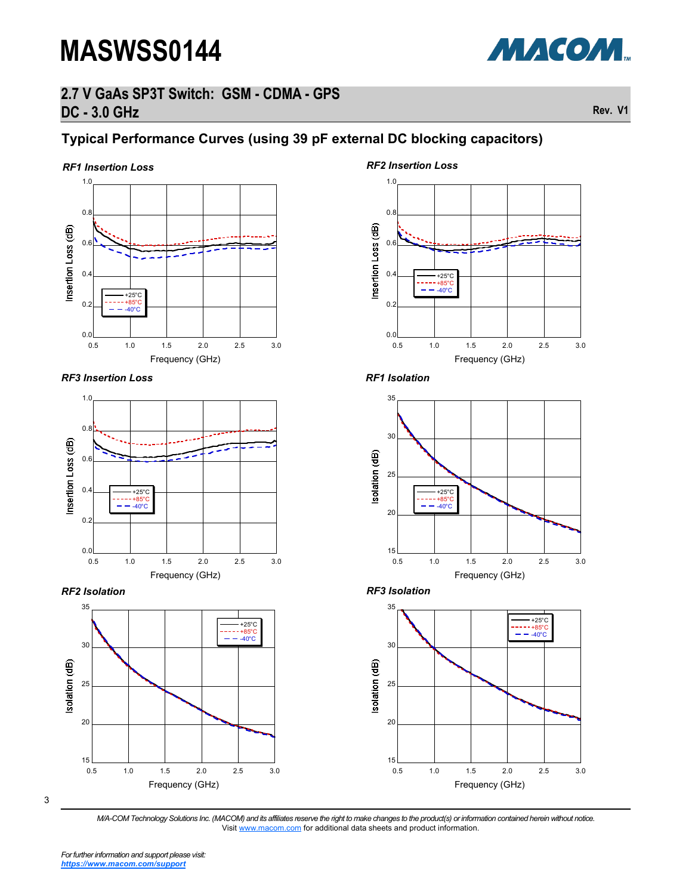# **2.7 V GaAs SP3T Switch: GSM - CDMA - GPS DC - 3.0 GHz Rev. V1**

# **Typical Performance Curves (using 39 pF external DC blocking capacitors)**

#### *RF1 Insertion Loss*



*RF3 Insertion Loss RF1 Isolation*







#### *RF2 Insertion Loss*









3

*M/A-COM Technology Solutions Inc. (MACOM) and its affiliates reserve the right to make changes to the product(s) or information contained herein without notice.*  Visit [www.macom.com](http://www.macom.com/) for additional data sheets and product information.

МАСОМ.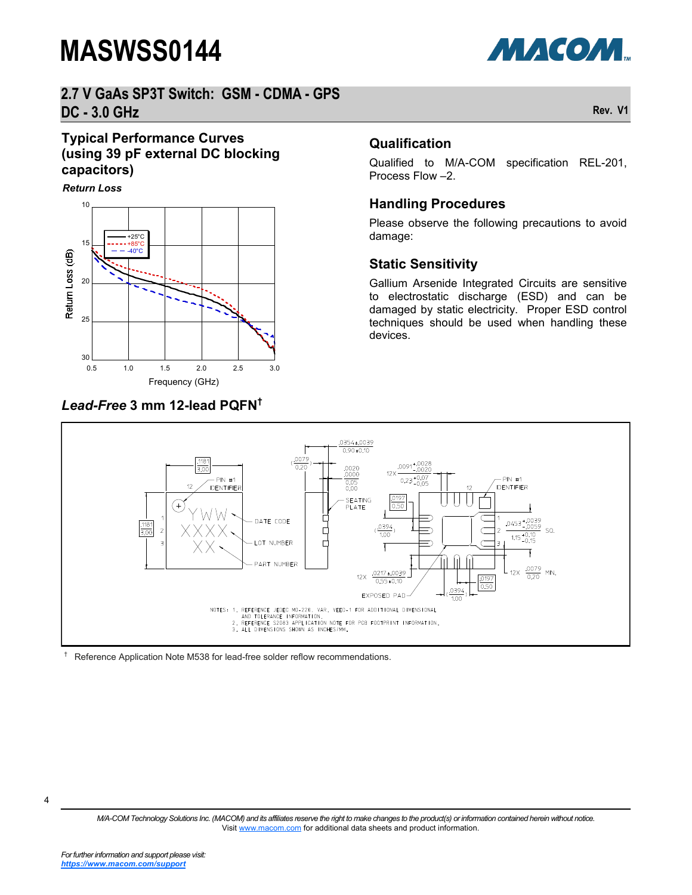

## **2.7 V GaAs SP3T Switch: GSM - CDMA - GPS DC - 3.0 GHz Rev. V1**

### **Typical Performance Curves (using 39 pF external DC blocking capacitors)**

*Return Loss*



### *Lead-Free* **3 mm 12-lead PQFN†**

#### **Qualification**

Qualified to M/A-COM specification REL-201, Process Flow –2.

#### **Handling Procedures**

Please observe the following precautions to avoid damage:

#### **Static Sensitivity**

Gallium Arsenide Integrated Circuits are sensitive to electrostatic discharge (ESD) and can be damaged by static electricity. Proper ESD control techniques should be used when handling these devices.



† Reference Application Note M538 for lead-free solder reflow recommendations.

*M/A-COM Technology Solutions Inc. (MACOM) and its affiliates reserve the right to make changes to the product(s) or information contained herein without notice.*  Visit [www.macom.com](http://www.macom.com/) for additional data sheets and product information.